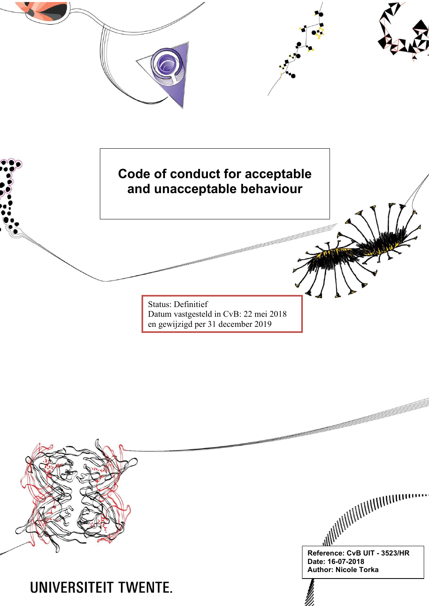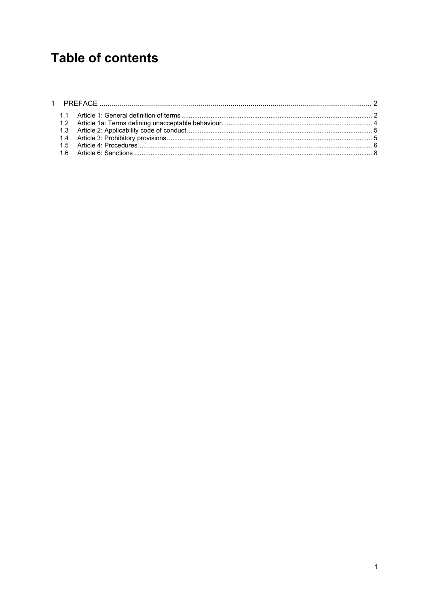# **Table of contents**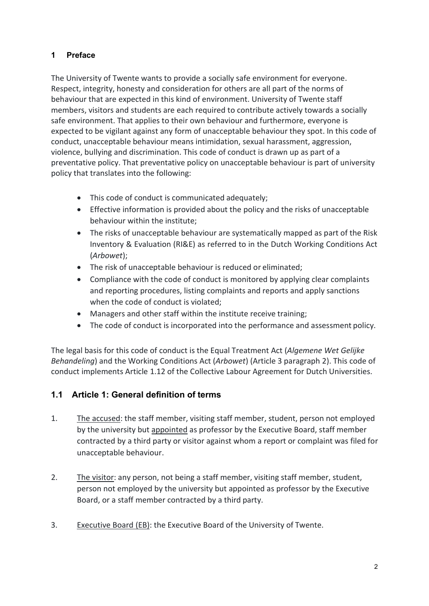## 1 Preface

The University of Twente wants to provide a socially safe environment for everyone. Respect, integrity, honesty and consideration for others are all part of the norms of behaviour that are expected in this kind of environment. University of Twente staff members, visitors and students are each required to contribute actively towards a socially safe environment. That applies to their own behaviour and furthermore, everyone is expected to be vigilant against any form of unacceptable behaviour they spot. In this code of conduct, unacceptable behaviour means intimidation, sexual harassment, aggression, violence, bullying and discrimination. This code of conduct is drawn up as part of a preventative policy. That preventative policy on unacceptable behaviour is part of university policy that translates into the following:

- This code of conduct is communicated adequately;
- Effective information is provided about the policy and the risks of unacceptable behaviour within the institute;
- The risks of unacceptable behaviour are systematically mapped as part of the Risk Inventory & Evaluation (RI&E) as referred to in the Dutch Working Conditions Act (Arbowet);
- The risk of unacceptable behaviour is reduced or eliminated;
- Compliance with the code of conduct is monitored by applying clear complaints and reporting procedures, listing complaints and reports and apply sanctions when the code of conduct is violated;
- Managers and other staff within the institute receive training;
- The code of conduct is incorporated into the performance and assessment policy.

The legal basis for this code of conduct is the Equal Treatment Act (Algemene Wet Gelijke Behandeling) and the Working Conditions Act (Arbowet) (Article 3 paragraph 2). This code of conduct implements Article 1.12 of the Collective Labour Agreement for Dutch Universities.

# 1.1 Article 1: General definition of terms

- 1. The accused: the staff member, visiting staff member, student, person not employed by the university but appointed as professor by the Executive Board, staff member contracted by a third party or visitor against whom a report or complaint was filed for unacceptable behaviour.
- 2. The visitor: any person, not being a staff member, visiting staff member, student, person not employed by the university but appointed as professor by the Executive Board, or a staff member contracted by a third party.
- 3. Executive Board (EB): the Executive Board of the University of Twente.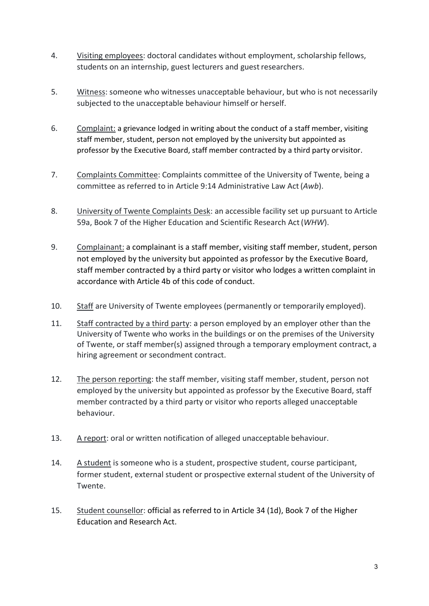- 4. Visiting employees: doctoral candidates without employment, scholarship fellows, students on an internship, guest lecturers and guest researchers.
- 5. Witness: someone who witnesses unacceptable behaviour, but who is not necessarily subjected to the unacceptable behaviour himself or herself.
- 6. Complaint: a grievance lodged in writing about the conduct of a staff member, visiting staff member, student, person not employed by the university but appointed as professor by the Executive Board, staff member contracted by a third party or visitor.
- 7. Complaints Committee: Complaints committee of the University of Twente, being a committee as referred to in Article 9:14 Administrative Law Act (Awb).
- 8. University of Twente Complaints Desk: an accessible facility set up pursuant to Article 59a, Book 7 of the Higher Education and Scientific Research Act (WHW).
- 9. Complainant: a complainant is a staff member, visiting staff member, student, person not employed by the university but appointed as professor by the Executive Board, staff member contracted by a third party or visitor who lodges a written complaint in accordance with Article 4b of this code of conduct.
- 10. Staff are University of Twente employees (permanently or temporarily employed).
- 11. Staff contracted by a third party: a person employed by an employer other than the University of Twente who works in the buildings or on the premises of the University of Twente, or staff member(s) assigned through a temporary employment contract, a hiring agreement or secondment contract.
- 12. The person reporting: the staff member, visiting staff member, student, person not employed by the university but appointed as professor by the Executive Board, staff member contracted by a third party or visitor who reports alleged unacceptable behaviour.
- 13. A report: oral or written notification of alleged unacceptable behaviour.
- 14. A student is someone who is a student, prospective student, course participant, former student, external student or prospective external student of the University of **Twente**
- 15. Student counsellor: official as referred to in Article 34 (1d), Book 7 of the Higher Education and Research Act.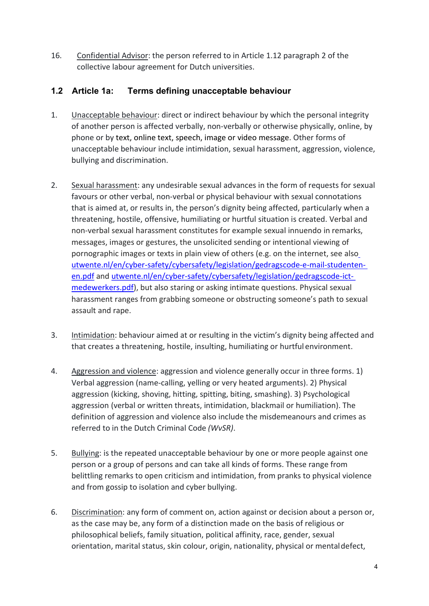16. Confidential Advisor: the person referred to in Article 1.12 paragraph 2 of the collective labour agreement for Dutch universities.

## 1.2 Article 1a: Terms defining unacceptable behaviour

- 1. Unacceptable behaviour: direct or indirect behaviour by which the personal integrity of another person is affected verbally, non-verbally or otherwise physically, online, by phone or by text, online text, speech, image or video message. Other forms of unacceptable behaviour include intimidation, sexual harassment, aggression, violence, bullying and discrimination.
- 2. Sexual harassment: any undesirable sexual advances in the form of requests for sexual favours or other verbal, non-verbal or physical behaviour with sexual connotations that is aimed at, or results in, the person's dignity being affected, particularly when a threatening, hostile, offensive, humiliating or hurtful situation is created. Verbal and non-verbal sexual harassment constitutes for example sexual innuendo in remarks, messages, images or gestures, the unsolicited sending or intentional viewing of pornographic images or texts in plain view of others (e.g. on the internet, see also utwente.nl/en/cyber-safety/cybersafety/legislation/gedragscode-e-mail-studentenen.pdf and utwente.nl/en/cyber-safety/cybersafety/legislation/gedragscode-ictmedewerkers.pdf), but also staring or asking intimate questions. Physical sexual harassment ranges from grabbing someone or obstructing someone's path to sexual assault and rape.
- 3. Intimidation: behaviour aimed at or resulting in the victim's dignity being affected and that creates a threatening, hostile, insulting, humiliating or hurtful environment.
- 4. Aggression and violence: aggression and violence generally occur in three forms. 1) Verbal aggression (name-calling, yelling or very heated arguments). 2) Physical aggression (kicking, shoving, hitting, spitting, biting, smashing). 3) Psychological aggression (verbal or written threats, intimidation, blackmail or humiliation). The definition of aggression and violence also include the misdemeanours and crimes as referred to in the Dutch Criminal Code (WvSR).
- 5. Bullying: is the repeated unacceptable behaviour by one or more people against one person or a group of persons and can take all kinds of forms. These range from belittling remarks to open criticism and intimidation, from pranks to physical violence and from gossip to isolation and cyber bullying.
- 6. Discrimination: any form of comment on, action against or decision about a person or, as the case may be, any form of a distinction made on the basis of religious or philosophical beliefs, family situation, political affinity, race, gender, sexual orientation, marital status, skin colour, origin, nationality, physical or mental defect,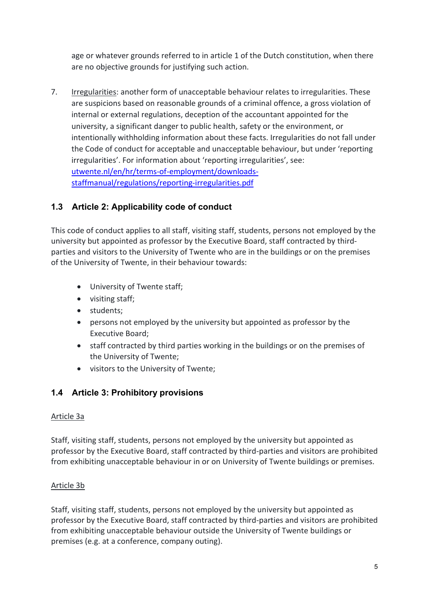age or whatever grounds referred to in article 1 of the Dutch constitution, when there are no objective grounds for justifying such action.

7. Irregularities: another form of unacceptable behaviour relates to irregularities. These are suspicions based on reasonable grounds of a criminal offence, a gross violation of internal or external regulations, deception of the accountant appointed for the university, a significant danger to public health, safety or the environment, or intentionally withholding information about these facts. Irregularities do not fall under the Code of conduct for acceptable and unacceptable behaviour, but under 'reporting irregularities'. For information about 'reporting irregularities', see: utwente.nl/en/hr/terms-of-employment/downloadsstaffmanual/regulations/reporting-irregularities.pdf

# 1.3 Article 2: Applicability code of conduct

This code of conduct applies to all staff, visiting staff, students, persons not employed by the university but appointed as professor by the Executive Board, staff contracted by thirdparties and visitors to the University of Twente who are in the buildings or on the premises of the University of Twente, in their behaviour towards:

- University of Twente staff;
- visiting staff;
- students;
- persons not employed by the university but appointed as professor by the Executive Board;
- staff contracted by third parties working in the buildings or on the premises of the University of Twente;
- visitors to the University of Twente;

# 1.4 Article 3: Prohibitory provisions

#### Article 3a

Staff, visiting staff, students, persons not employed by the university but appointed as professor by the Executive Board, staff contracted by third-parties and visitors are prohibited from exhibiting unacceptable behaviour in or on University of Twente buildings or premises.

## Article 3b

Staff, visiting staff, students, persons not employed by the university but appointed as professor by the Executive Board, staff contracted by third-parties and visitors are prohibited from exhibiting unacceptable behaviour outside the University of Twente buildings or premises (e.g. at a conference, company outing).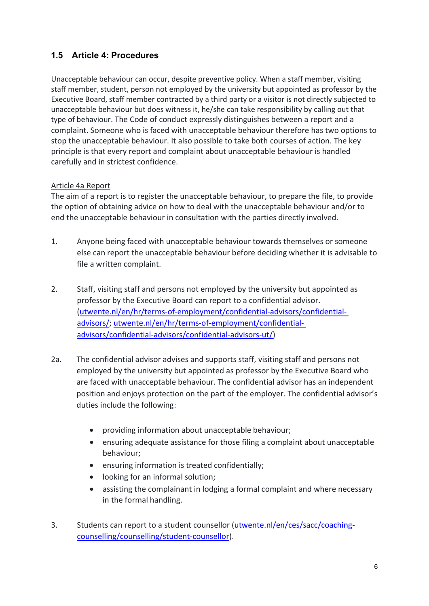# 1.5 Article 4: Procedures

Unacceptable behaviour can occur, despite preventive policy. When a staff member, visiting staff member, student, person not employed by the university but appointed as professor by the Executive Board, staff member contracted by a third party or a visitor is not directly subjected to unacceptable behaviour but does witness it, he/she can take responsibility by calling out that type of behaviour. The Code of conduct expressly distinguishes between a report and a complaint. Someone who is faced with unacceptable behaviour therefore has two options to stop the unacceptable behaviour. It also possible to take both courses of action. The key principle is that every report and complaint about unacceptable behaviour is handled carefully and in strictest confidence.

## Article 4a Report

The aim of a report is to register the unacceptable behaviour, to prepare the file, to provide the option of obtaining advice on how to deal with the unacceptable behaviour and/or to end the unacceptable behaviour in consultation with the parties directly involved.

- 1. Anyone being faced with unacceptable behaviour towards themselves or someone else can report the unacceptable behaviour before deciding whether it is advisable to file a written complaint.
- 2. Staff, visiting staff and persons not employed by the university but appointed as professor by the Executive Board can report to a confidential advisor. (utwente.nl/en/hr/terms-of-employment/confidential-advisors/confidentialadvisors/; utwente.nl/en/hr/terms-of-employment/confidentialadvisors/confidential-advisors/confidential-advisors-ut/)
- 2a. The confidential advisor advises and supports staff, visiting staff and persons not employed by the university but appointed as professor by the Executive Board who are faced with unacceptable behaviour. The confidential advisor has an independent position and enjoys protection on the part of the employer. The confidential advisor's duties include the following:
	- providing information about unacceptable behaviour;
	- ensuring adequate assistance for those filing a complaint about unacceptable behaviour;
	- ensuring information is treated confidentially;
	- looking for an informal solution:
	- assisting the complainant in lodging a formal complaint and where necessary in the formal handling.
- 3. Students can report to a student counsellor (utwente.nl/en/ces/sacc/coachingcounselling/counselling/student-counsellor).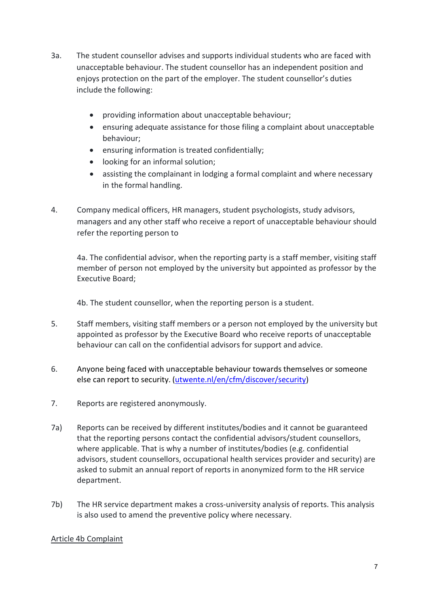- 3a. The student counsellor advises and supports individual students who are faced with unacceptable behaviour. The student counsellor has an independent position and enjoys protection on the part of the employer. The student counsellor's duties include the following:
	- providing information about unacceptable behaviour;
	- ensuring adequate assistance for those filing a complaint about unacceptable behaviour;
	- ensuring information is treated confidentially;
	- looking for an informal solution:
	- assisting the complainant in lodging a formal complaint and where necessary in the formal handling.
- 4. Company medical officers, HR managers, student psychologists, study advisors, managers and any other staff who receive a report of unacceptable behaviour should refer the reporting person to

4a. The confidential advisor, when the reporting party is a staff member, visiting staff member of person not employed by the university but appointed as professor by the Executive Board;

4b. The student counsellor, when the reporting person is a student.

- 5. Staff members, visiting staff members or a person not employed by the university but appointed as professor by the Executive Board who receive reports of unacceptable behaviour can call on the confidential advisors for support and advice.
- 6. Anyone being faced with unacceptable behaviour towards themselves or someone else can report to security. (utwente.nl/en/cfm/discover/security)
- 7. Reports are registered anonymously.
- 7a) Reports can be received by different institutes/bodies and it cannot be guaranteed that the reporting persons contact the confidential advisors/student counsellors, where applicable. That is why a number of institutes/bodies (e.g. confidential advisors, student counsellors, occupational health services provider and security) are asked to submit an annual report of reports in anonymized form to the HR service department.
- 7b) The HR service department makes a cross-university analysis of reports. This analysis is also used to amend the preventive policy where necessary.

#### Article 4b Complaint